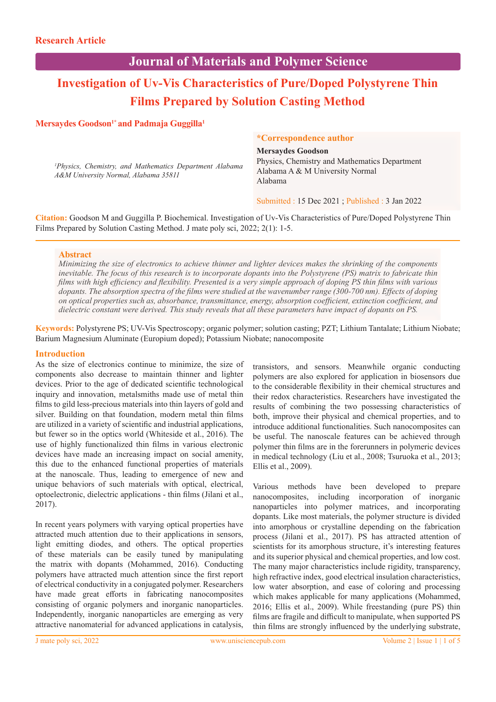## **Journal of Materials and Polymer Science**

# **Investigation of Uv-Vis Characteristics of Pure/Doped Polystyrene Thin Films Prepared by Solution Casting Method**

## Mersaydes Goodson<sup>1\*</sup> and Padmaja Guggilla<sup>1</sup>

*1 Physics, Chemistry, and Mathematics Department Alabama A&M University Normal, Alabama 35811*

#### **\*Correspondence author**

**Mersaydes Goodson**

Physics, Chemistry and Mathematics Department Alabama A & M University Normal Alabama

Submitted : 15 Dec 2021 ; Published : 3 Jan 2022

**Citation:** Goodson M and Guggilla P. Biochemical. Investigation of Uv-Vis Characteristics of Pure/Doped Polystyrene Thin Films Prepared by Solution Casting Method. J mate poly sci, 2022; 2(1): 1-5.

## **Abstract**

*Minimizing the size of electronics to achieve thinner and lighter devices makes the shrinking of the components inevitable. The focus of this research is to incorporate dopants into the Polystyrene (PS) matrix to fabricate thin films with high efficiency and flexibility. Presented is a very simple approach of doping PS thin films with various dopants. The absorption spectra of the films were studied at the wavenumber range (300-700 nm). Effects of doping on optical properties such as, absorbance, transmittance, energy, absorption coefficient, extinction coefficient, and dielectric constant were derived. This study reveals that all these parameters have impact of dopants on PS.*

**Keywords:** Polystyrene PS; UV-Vis Spectroscopy; organic polymer; solution casting; PZT; Lithium Tantalate; Lithium Niobate; Barium Magnesium Aluminate (Europium doped); Potassium Niobate; nanocomposite

#### **Introduction**

As the size of electronics continue to minimize, the size of components also decrease to maintain thinner and lighter devices. Prior to the age of dedicated scientific technological inquiry and innovation, metalsmiths made use of metal thin films to gild less-precious materials into thin layers of gold and silver. Building on that foundation, modern metal thin films are utilized in a variety of scientific and industrial applications, but fewer so in the optics world (Whiteside et al., 2016). The use of highly functionalized thin films in various electronic devices have made an increasing impact on social amenity, this due to the enhanced functional properties of materials at the nanoscale. Thus, leading to emergence of new and unique behaviors of such materials with optical, electrical, optoelectronic, dielectric applications - thin films (Jilani et al., 2017).

In recent years polymers with varying optical properties have attracted much attention due to their applications in sensors, light emitting diodes, and others. The optical properties of these materials can be easily tuned by manipulating the matrix with dopants (Mohammed, 2016). Conducting polymers have attracted much attention since the first report of electrical conductivity in a conjugated polymer. Researchers have made great efforts in fabricating nanocomposites consisting of organic polymers and inorganic nanoparticles. Independently, inorganic nanoparticles are emerging as very attractive nanomaterial for advanced applications in catalysis, transistors, and sensors. Meanwhile organic conducting polymers are also explored for application in biosensors due to the considerable flexibility in their chemical structures and their redox characteristics. Researchers have investigated the results of combining the two possessing characteristics of both, improve their physical and chemical properties, and to introduce additional functionalities. Such nanocomposites can be useful. The nanoscale features can be achieved through polymer thin films are in the forerunners in polymeric devices in medical technology (Liu et al., 2008; Tsuruoka et al., 2013; Ellis et al., 2009).

Various methods have been developed to prepare nanocomposites, including incorporation of inorganic nanoparticles into polymer matrices, and incorporating dopants. Like most materials, the polymer structure is divided into amorphous or crystalline depending on the fabrication process (Jilani et al., 2017). PS has attracted attention of scientists for its amorphous structure, it's interesting features and its superior physical and chemical properties, and low cost. The many major characteristics include rigidity, transparency, high refractive index, good electrical insulation characteristics, low water absorption, and ease of coloring and processing which makes applicable for many applications (Mohammed, 2016; Ellis et al., 2009). While freestanding (pure PS) thin films are fragile and difficult to manipulate, when supported PS thin films are strongly influenced by the underlying substrate,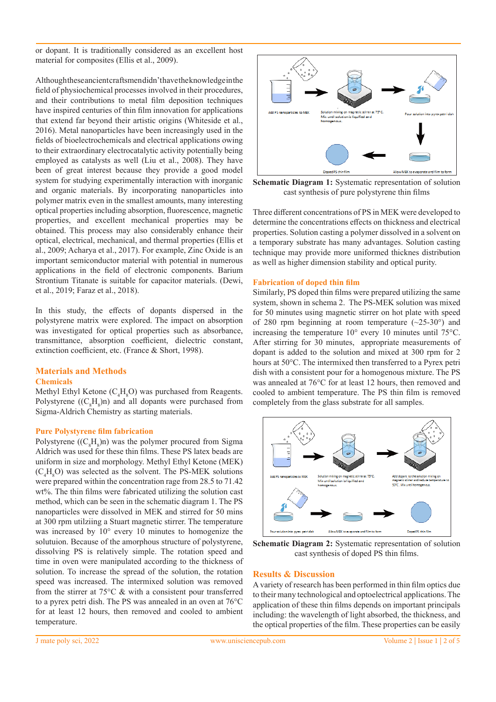or dopant. It is traditionally considered as an excellent host material for composites (Ellis et al., 2009).

Although these ancient craftsmendidn't have the knowledge in the field of physiochemical processes involved in their procedures, and their contributions to metal film deposition techniques have inspired centuries of thin film innovation for applications that extend far beyond their artistic origins (Whiteside et al., 2016). Metal nanoparticles have been increasingly used in the fields of bioelectrochemicals and electrical applications owing to their extraordinary electrocatalytic activity potentially being employed as catalysts as well (Liu et al., 2008). They have been of great interest because they provide a good model system for studying experimentally interaction with inorganic and organic materials. By incorporating nanoparticles into polymer matrix even in the smallest amounts, many interesting optical properties including absorption, fluorescence, magnetic properties, and excellent mechanical properties may be obtained. This process may also considerably enhance their optical, electrical, mechanical, and thermal properties (Ellis et al., 2009; Acharya et al., 2017). For example, Zinc Oxide is an important semiconductor material with potential in numerous applications in the field of electronic components. Barium Strontium Titanate is suitable for capacitor materials. (Dewi, et al., 2019; Faraz et al., 2018).

In this study, the effects of dopants dispersed in the polystyrene matrix were explored. The impact on absorption was investigated for optical properties such as absorbance, transmittance, absorption coefficient, dielectric constant, extinction coefficient, etc. (France & Short, 1998).

## **Materials and Methods**

## **Chemicals**

Methyl Ethyl Ketone  $(C_4H_8O)$  was purchased from Reagents. Polystyrene  $((C_{8}H_{8})n)$  and all dopants were purchased from Sigma-Aldrich Chemistry as starting materials.

#### **Pure Polystyrene film fabrication**

Polystyrene  $((C_8H_8)n)$  was the polymer procured from Sigma Aldrich was used for these thin films. These PS latex beads are uniform in size and morphology. Methyl Ethyl Ketone (MEK)  $(C_4H_8O)$  was selected as the solvent. The PS-MEK solutions were prepared within the concentration rage from 28.5 to 71.42 wt%. The thin films were fabricated utilizing the solution cast method, which can be seen in the schematic diagram 1. The PS nanoparticles were dissolved in MEK and stirred for 50 mins at 300 rpm utilziing a Stuart magnetic stirrer. The temperature was increased by 10° every 10 minutes to homogenize the solutuion. Because of the amorphous structure of polystyrene, dissolving PS is relatively simple. The rotation speed and time in oven were manipulated according to the thickness of solution. To increase the spread of the solution, the rotation speed was increased. The intermixed solution was removed from the stirrer at 75°C & with a consistent pour transferred to a pyrex petri dish. The PS was annealed in an oven at 76°C for at least 12 hours, then removed and cooled to ambient temperature.



**Schematic Diagram 1:** Systematic representation of solution cast synthesis of pure polystyrene thin films

Three different concentrations of PS in MEK were developed to determine the concentrations effects on thickness and electrical properties. Solution casting a polymer dissolved in a solvent on a temporary substrate has many advantages. Solution casting technique may provide more uniformed thicknes distribution as well as higher dimension stability and optical purity.

#### **Fabrication of doped thin film**

Similarly, PS doped thin films were prepared utilizing the same system, shown in schema 2. The PS-MEK solution was mixed for 50 minutes using magnetic stirrer on hot plate with speed of 280 rpm beginning at room temperature  $(\sim 25-30^{\circ})$  and increasing the temperature 10° every 10 minutes until 75°C. After stirring for 30 minutes, appropriate measurements of dopant is added to the solution and mixed at 300 rpm for 2 hours at 50°C. The intermixed then transferred to a Pyrex petri dish with a consistent pour for a homogenous mixture. The PS was annealed at 76°C for at least 12 hours, then removed and cooled to ambient temperature. The PS thin film is removed completely from the glass substrate for all samples.



**Schematic Diagram 2:** Systematic representation of solution cast synthesis of doped PS thin films.

## **Results & Discussion**

A variety of research has been performed in thin film optics due to their many technological and optoelectrical applications. The application of these thin films depends on important principals including: the wavelength of light absorbed, the thickness, and the optical properties of the film. These properties can be easily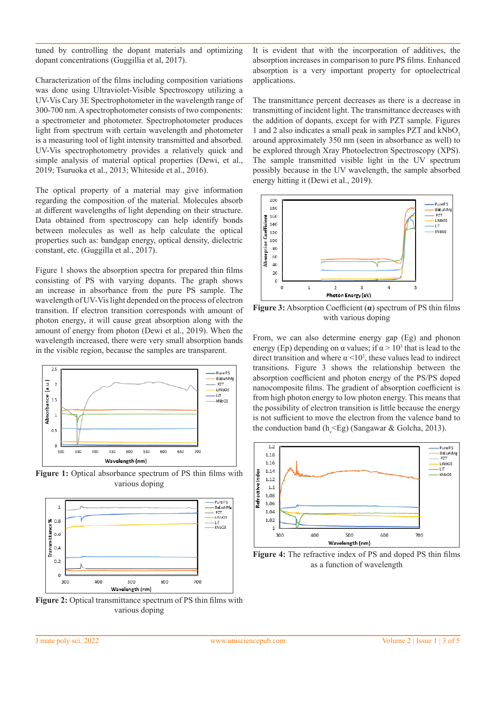tuned by controlling the dopant materials and optimizing dopant concentrations (Guggillia et al, 2017).

Characterization of the films including composition variations was done using Ultraviolet-Visible Spectroscopy utilizing a UV-Vis Cary 3E Spectrophotometer in the wavelength range of 300-700 nm. A spectrophotometer consists of two components: a spectrometer and photometer. Spectrophotometer produces light from spectrum with certain wavelength and photometer is a measuring tool of light intensity transmitted and absorbed. UV-Vis spectrophotometry provides a relatively quick and simple analysis of material optical properties (Dewi, et al., 2019; Tsuruoka et al., 2013; Whiteside et al., 2016).

The optical property of a material may give information regarding the composition of the material. Molecules absorb at different wavelengths of light depending on their structure. Data obtained from spectroscopy can help identify bonds between molecules as well as help calculate the optical properties such as: bandgap energy, optical density, dielectric constant, etc. (Guggilla et al., 2017).

Figure 1 shows the absorption spectra for prepared thin films consisting of PS with varying dopants. The graph shows an increase in absorbance from the pure PS sample. The wavelength of UV-Vis light depended on the process of electron transition. If electron transition corresponds with amount of photon energy, it will cause great absorption along with the amount of energy from photon (Dewi et al., 2019). When the wavelength increased, there were very small absorption bands in the visible region, because the samples are transparent.



**Figure 1:** Optical absorbance spectrum of PS thin films with various doping



**Figure 2:** Optical transmittance spectrum of PS thin films with various doping

It is evident that with the incorporation of additives, the absorption increases in comparison to pure PS films. Enhanced absorption is a very important property for optoelectrical applications.

The transmittance percent decreases as there is a decrease in transmitting of incident light. The transmittance decreases with the addition of dopants, except for with PZT sample. Figures 1 and 2 also indicates a small peak in samples PZT and kNbO<sub>3</sub>. around approximately 350 nm (seen in absorbance as well) to be explored through Xray Photoelectron Spectroscopy (XPS). The sample transmitted visible light in the UV spectrum possibly because in the UV wavelength, the sample absorbed energy hitting it (Dewi et al., 2019).



**Figure 3:** Absorption Coefficient (**α**) spectrum of PS thin films with various doping

From, we can also determine energy gap (Eg) and phonon energy (Ep) depending on  $\alpha$  values; if  $\alpha > 10^3$  that is lead to the direct transition and where  $\alpha$  <10<sup>3</sup>, these values lead to indirect transitions. Figure 3 shows the relationship between the absorption coefficient and photon energy of the PS/PS doped nanocomposite films. The gradient of absorption coefficient is from high photon energy to low photon energy. This means that the possibility of electron transition is little because the energy is not sufficient to move the electron from the valence band to the conduction band ( $h_y \leq Eg$ ) (Sangawar & Golcha, 2013).



**Figure 4:** The refractive index of PS and doped PS thin films as a function of wavelength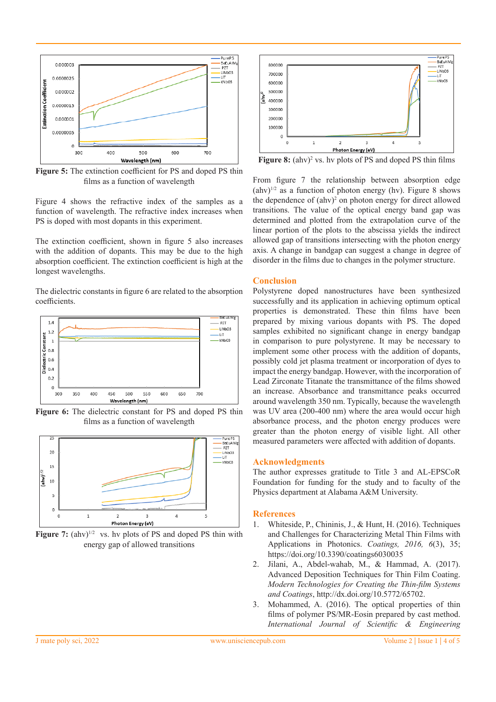

**Figure 5:** The extinction coefficient for PS and doped PS thin films as a function of wavelength

Figure 4 shows the refractive index of the samples as a function of wavelength. The refractive index increases when PS is doped with most dopants in this experiment.

The extinction coefficient, shown in figure 5 also increases with the addition of dopants. This may be due to the high absorption coefficient. The extinction coefficient is high at the longest wavelengths.

The dielectric constants in figure 6 are related to the absorption coefficients.



**Figure 6:** The dielectric constant for PS and doped PS thin films as a function of wavelength



**Figure 7:**  $(ahv)^{1/2}$  vs. hv plots of PS and doped PS thin with energy gap of allowed transitions



**Figure 8:** (ahv)<sup>2</sup> vs. hv plots of PS and doped PS thin films

From figure 7 the relationship between absorption edge  $(ahv)^{1/2}$  as a function of photon energy (hv). Figure 8 shows the dependence of  $(ahv)^2$  on photon energy for direct allowed transitions. The value of the optical energy band gap was determined and plotted from the extrapolation curve of the linear portion of the plots to the abscissa yields the indirect allowed gap of transitions intersecting with the photon energy axis. A change in bandgap can suggest a change in degree of disorder in the films due to changes in the polymer structure.

## **Conclusion**

Polystyrene doped nanostructures have been synthesized successfully and its application in achieving optimum optical properties is demonstrated. These thin films have been prepared by mixing various dopants with PS. The doped samples exhibited no significant change in energy bandgap in comparison to pure polystyrene. It may be necessary to implement some other process with the addition of dopants, possibly cold jet plasma treatment or incorporation of dyes to impact the energy bandgap. However, with the incorporation of Lead Zirconate Titanate the transmittance of the films showed an increase. Absorbance and transmittance peaks occurred around wavelength 350 nm. Typically, because the wavelength was UV area (200-400 nm) where the area would occur high absorbance process, and the photon energy produces were greater than the photon energy of visible light. All other measured parameters were affected with addition of dopants.

#### **Acknowledgments**

The author expresses gratitude to Title 3 and AL-EPSCoR Foundation for funding for the study and to faculty of the Physics department at Alabama A&M University.

#### **References**

- 1. Whiteside, P., Chininis, J., & Hunt, H. (2016). Techniques and Challenges for Characterizing Metal Thin Films with Applications in Photonics. *Coatings, 2016, 6*(3), 35; https://doi.org/10.3390/coatings6030035
- 2. Jilani, A., Abdel-wahab, M., & Hammad, A. (2017). Advanced Deposition Techniques for Thin Film Coating. *Modern Technologies for Creating the Thin-film Systems and Coatings*, http://dx.doi.org/10.5772/65702.
- 3. Mohammed, A. (2016). The optical properties of thin films of polymer PS/MR-Eosin prepared by cast method. *International Journal of Scientific & Engineering*